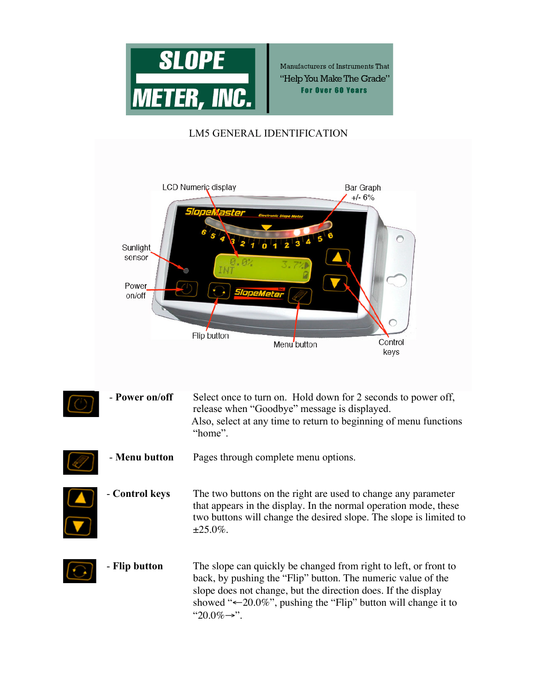

Manufacturers of Instruments That "Help You Make The Grade" **For Over 60 Years** 

## LM5 GENERAL IDENTIFICATION



| - Power on/off | Select once to turn on. Hold down for 2 seconds to power off,<br>release when "Goodbye" message is displayed.<br>Also, select at any time to return to beginning of menu functions<br>"home".                                                                                                               |
|----------------|-------------------------------------------------------------------------------------------------------------------------------------------------------------------------------------------------------------------------------------------------------------------------------------------------------------|
| - Menu button  | Pages through complete menu options.                                                                                                                                                                                                                                                                        |
| - Control keys | The two buttons on the right are used to change any parameter<br>that appears in the display. In the normal operation mode, these<br>two buttons will change the desired slope. The slope is limited to<br>$\pm 25.0\%$ .                                                                                   |
| - Flip button  | The slope can quickly be changed from right to left, or front to<br>back, by pushing the "Flip" button. The numeric value of the<br>slope does not change, but the direction does. If the display<br>showed " $\leftarrow$ 20.0%", pushing the "Flip" button will change it to<br>" $20.0\% \rightarrow$ ". |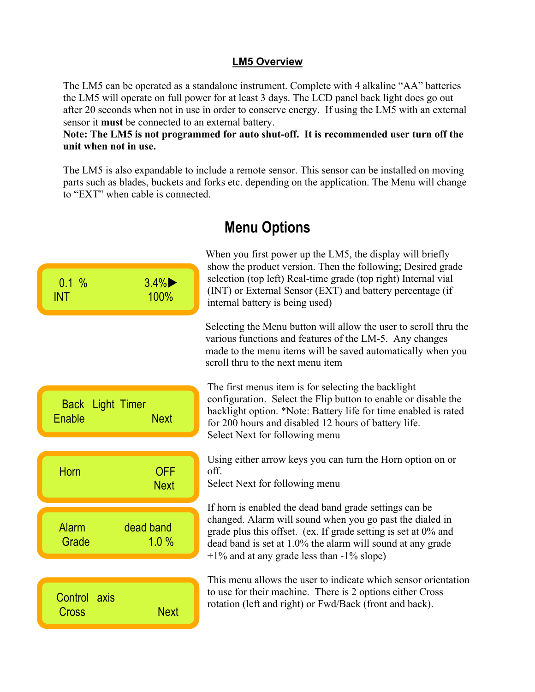## **LM5 Overview**

The LM5 can be operated as a standalone instrument. Complete with 4 alkaline "AA" batteries the LM5 will operate on full power for at least 3 days. The LCD panel back light does go out after 20 seconds when not in use in order to conserve energy. If using the LM5 with an external sensor it **must** be connected to an external battery.

## **Note: The LM5 is not programmed for auto shut-off. It is recommended user turn off the unit when not in use.**

The LM5 is also expandable to include a remote sensor. This sensor can be installed on moving parts such as blades, buckets and forks etc. depending on the application. The Menu will change to "EXT" when cable is connected.

| 0.1%<br><b>INT</b>         | 3.4%<br>100%              | When you first power up the LM5, the display will briefly<br>show the product version. Then the following; Desired grade<br>selection (top left) Real-time grade (top right) Internal vial<br>(INT) or External Sensor (EXT) and battery percentage (if<br>internal battery is being used)            |
|----------------------------|---------------------------|-------------------------------------------------------------------------------------------------------------------------------------------------------------------------------------------------------------------------------------------------------------------------------------------------------|
|                            |                           | Selecting the Menu button will allow the user to scroll thru the<br>various functions and features of the LM-5. Any changes<br>made to the menu items will be saved automatically when you<br>scroll thru to the next menu item                                                                       |
| Back Light Timer<br>Enable | <b>Next</b>               | The first menus item is for selecting the backlight<br>configuration. Select the Flip button to enable or disable the<br>backlight option. *Note: Battery life for time enabled is rated<br>for 200 hours and disabled 12 hours of battery life.<br>Select Next for following menu                    |
| Horn                       | <b>OFF</b><br><b>Next</b> | Using either arrow keys you can turn the Horn option on or<br>off.<br>Select Next for following menu                                                                                                                                                                                                  |
| <b>Alarm</b><br>Grade      | dead band<br>1.0%         | If horn is enabled the dead band grade settings can be<br>changed. Alarm will sound when you go past the dialed in<br>grade plus this offset. (ex. If grade setting is set at 0% and<br>dead band is set at 1.0% the alarm will sound at any grade<br>$+1\%$ and at any grade less than $-1\%$ slope) |
| Control axis<br>Cross      | <b>Next</b>               | This menu allows the user to indicate which sensor orientation<br>to use for their machine. There is 2 options either Cross<br>rotation (left and right) or Fwd/Back (front and back).                                                                                                                |

# **Menu Options**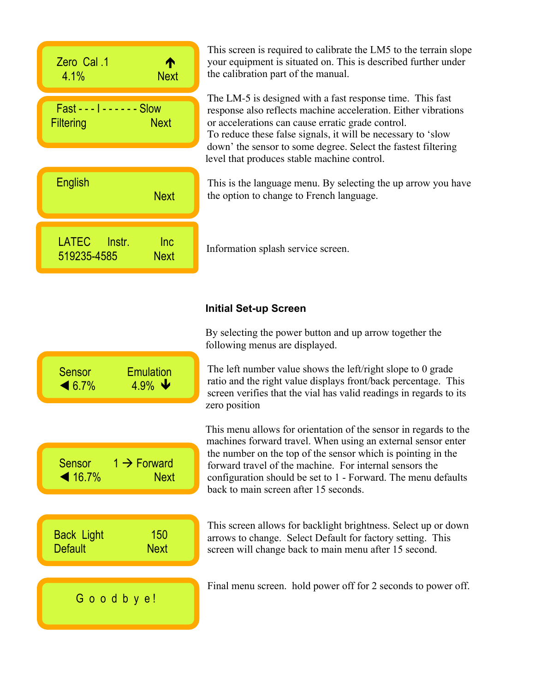| 2ero Cal .1<br>⋔<br><b>Next</b><br>$4.1\%$                    | This screen is required to calibrate the LM5 to the terrain slope<br>your equipment is situated on. This is described further under<br>the calibration part of the manual.                                                                                                                                        |
|---------------------------------------------------------------|-------------------------------------------------------------------------------------------------------------------------------------------------------------------------------------------------------------------------------------------------------------------------------------------------------------------|
| $Fast - -  - - - - - Slow$<br><b>Filtering</b><br><b>Next</b> | The LM-5 is designed with a fast response time. This fast<br>response also reflects machine acceleration. Either vibrations<br>or accelerations can cause erratic grade control.<br>To reduce these false signals, it will be necessary to 'slow<br>down' the sensor to some degree. Select the fastest filtering |
|                                                               | level that produces stable machine control.                                                                                                                                                                                                                                                                       |
| <b>English</b><br><b>Next</b>                                 | This is the language menu. By selecting the up arrow you have<br>the option to change to French language.                                                                                                                                                                                                         |
| LATEC Instr.<br>Inc<br>519235-4585<br><b>Next</b>             | Information splash service screen.                                                                                                                                                                                                                                                                                |
|                                                               | <b>Initial Set-up Screen</b>                                                                                                                                                                                                                                                                                      |

Sensor Emulation  $\triangleleft 6.7\%$  4.9%  $\blacktriangleright$ 

Sensor  $1 \rightarrow$  Forward **▲ 16.7% Next** 

G o o d b y e!

Back Light 150 Default Next

INT

INT

By selecting the power button and up arrow together the following menus are displayed.

The left number value shows the left/right slope to 0 grade ratio and the right value displays front/back percentage. This screen verifies that the vial has valid readings in regards to its zero position

This menu allows for orientation of the sensor in regards to the machines forward travel. When using an external sensor enter the number on the top of the sensor which is pointing in the forward travel of the machine. For internal sensors the configuration should be set to 1 - Forward. The menu defaults back to main screen after 15 seconds.

This screen allows for backlight brightness. Select up or down arrows to change. Select Default for factory setting. This screen will change back to main menu after 15 second.

Final menu screen. hold power off for 2 seconds to power off.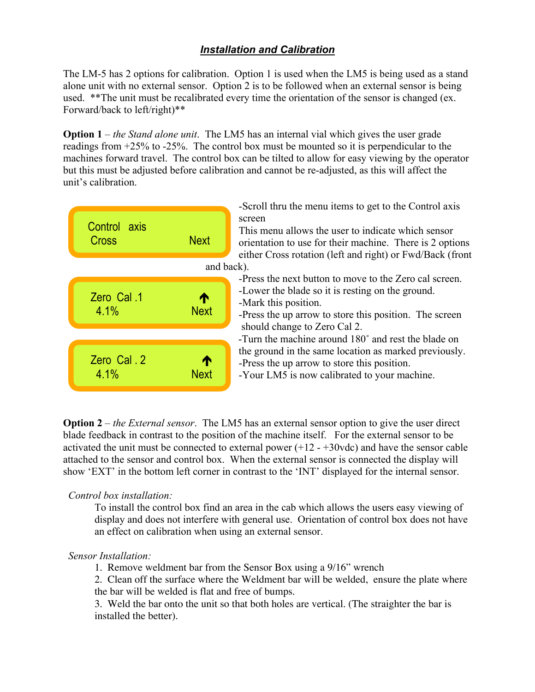# *Installation and Calibration*

The LM-5 has 2 options for calibration. Option 1 is used when the LM5 is being used as a stand alone unit with no external sensor. Option 2 is to be followed when an external sensor is being used. \*\*The unit must be recalibrated every time the orientation of the sensor is changed (ex. Forward/back to left/right)\*\*

**Option 1** – *the Stand alone unit*. The LM5 has an internal vial which gives the user grade readings from +25% to -25%. The control box must be mounted so it is perpendicular to the machines forward travel. The control box can be tilted to allow for easy viewing by the operator but this must be adjusted before calibration and cannot be re-adjusted, as this will affect the unit's calibration.



-Scroll thru the menu items to get to the Control axis

This menu allows the user to indicate which sensor orientation to use for their machine. There is 2 options either Cross rotation (left and right) or Fwd/Back (front

-Press the next button to move to the Zero cal screen. -Lower the blade so it is resting on the ground.

-Press the up arrow to store this position. The screen should change to Zero Cal 2.

-Turn the machine around 180˚ and rest the blade on the ground in the same location as marked previously. -Press the up arrow to store this position.

-Your LM5 is now calibrated to your machine.

**Option 2** – *the External sensor*. The LM5 has an external sensor option to give the user direct blade feedback in contrast to the position of the machine itself. For the external sensor to be activated the unit must be connected to external power (+12 - +30vdc) and have the sensor cable attached to the sensor and control box. When the external sensor is connected the display will show 'EXT' in the bottom left corner in contrast to the 'INT' displayed for the internal sensor.

## *Control box installation:*

To install the control box find an area in the cab which allows the users easy viewing of display and does not interfere with general use. Orientation of control box does not have an effect on calibration when using an external sensor.

## *Sensor Installation:*

1. Remove weldment bar from the Sensor Box using a 9/16" wrench

2. Clean off the surface where the Weldment bar will be welded, ensure the plate where the bar will be welded is flat and free of bumps.

3. Weld the bar onto the unit so that both holes are vertical. (The straighter the bar is installed the better).